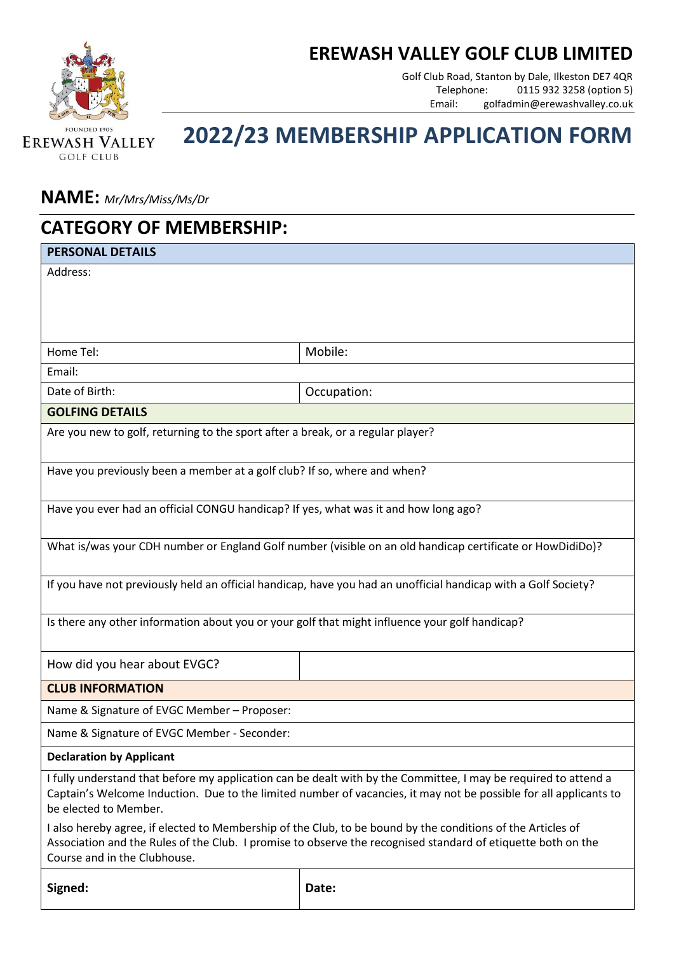## **EREWASH VALLEY GOLF CLUB LIMITED**



Golf Club Road, Stanton by Dale, Ilkeston DE7 4QR Telephone: 0115 932 3258 (option 5) Email: golfadmin@erewashvalley.co.uk

## **2022/23 MEMBERSHIP APPLICATION FORM**

## **NAME:** *Mr/Mrs/Miss/Ms/Dr*

| <b>CATEGORY OF MEMBERSHIP:</b>                                                                                                                                                                                                                              |                                                                                                                                                                                                                                      |  |
|-------------------------------------------------------------------------------------------------------------------------------------------------------------------------------------------------------------------------------------------------------------|--------------------------------------------------------------------------------------------------------------------------------------------------------------------------------------------------------------------------------------|--|
| <b>PERSONAL DETAILS</b>                                                                                                                                                                                                                                     |                                                                                                                                                                                                                                      |  |
| Address:                                                                                                                                                                                                                                                    |                                                                                                                                                                                                                                      |  |
| Home Tel:                                                                                                                                                                                                                                                   | Mobile:                                                                                                                                                                                                                              |  |
| Email:                                                                                                                                                                                                                                                      |                                                                                                                                                                                                                                      |  |
| Date of Birth:                                                                                                                                                                                                                                              | Occupation:                                                                                                                                                                                                                          |  |
| <b>GOLFING DETAILS</b>                                                                                                                                                                                                                                      |                                                                                                                                                                                                                                      |  |
| Are you new to golf, returning to the sport after a break, or a regular player?                                                                                                                                                                             |                                                                                                                                                                                                                                      |  |
| Have you previously been a member at a golf club? If so, where and when?                                                                                                                                                                                    |                                                                                                                                                                                                                                      |  |
| Have you ever had an official CONGU handicap? If yes, what was it and how long ago?                                                                                                                                                                         |                                                                                                                                                                                                                                      |  |
| What is/was your CDH number or England Golf number (visible on an old handicap certificate or HowDidiDo)?                                                                                                                                                   |                                                                                                                                                                                                                                      |  |
| If you have not previously held an official handicap, have you had an unofficial handicap with a Golf Society?                                                                                                                                              |                                                                                                                                                                                                                                      |  |
| Is there any other information about you or your golf that might influence your golf handicap?                                                                                                                                                              |                                                                                                                                                                                                                                      |  |
| How did you hear about EVGC?                                                                                                                                                                                                                                |                                                                                                                                                                                                                                      |  |
| <b>CLUB INFORMATION</b>                                                                                                                                                                                                                                     |                                                                                                                                                                                                                                      |  |
| Name & Signature of EVGC Member - Proposer:                                                                                                                                                                                                                 |                                                                                                                                                                                                                                      |  |
| Name & Signature of EVGC Member - Seconder:                                                                                                                                                                                                                 |                                                                                                                                                                                                                                      |  |
| <b>Declaration by Applicant</b>                                                                                                                                                                                                                             |                                                                                                                                                                                                                                      |  |
| be elected to Member.                                                                                                                                                                                                                                       | I fully understand that before my application can be dealt with by the Committee, I may be required to attend a<br>Captain's Welcome Induction. Due to the limited number of vacancies, it may not be possible for all applicants to |  |
| I also hereby agree, if elected to Membership of the Club, to be bound by the conditions of the Articles of<br>Association and the Rules of the Club. I promise to observe the recognised standard of etiquette both on the<br>Course and in the Clubhouse. |                                                                                                                                                                                                                                      |  |
| Signed:                                                                                                                                                                                                                                                     | Date:                                                                                                                                                                                                                                |  |